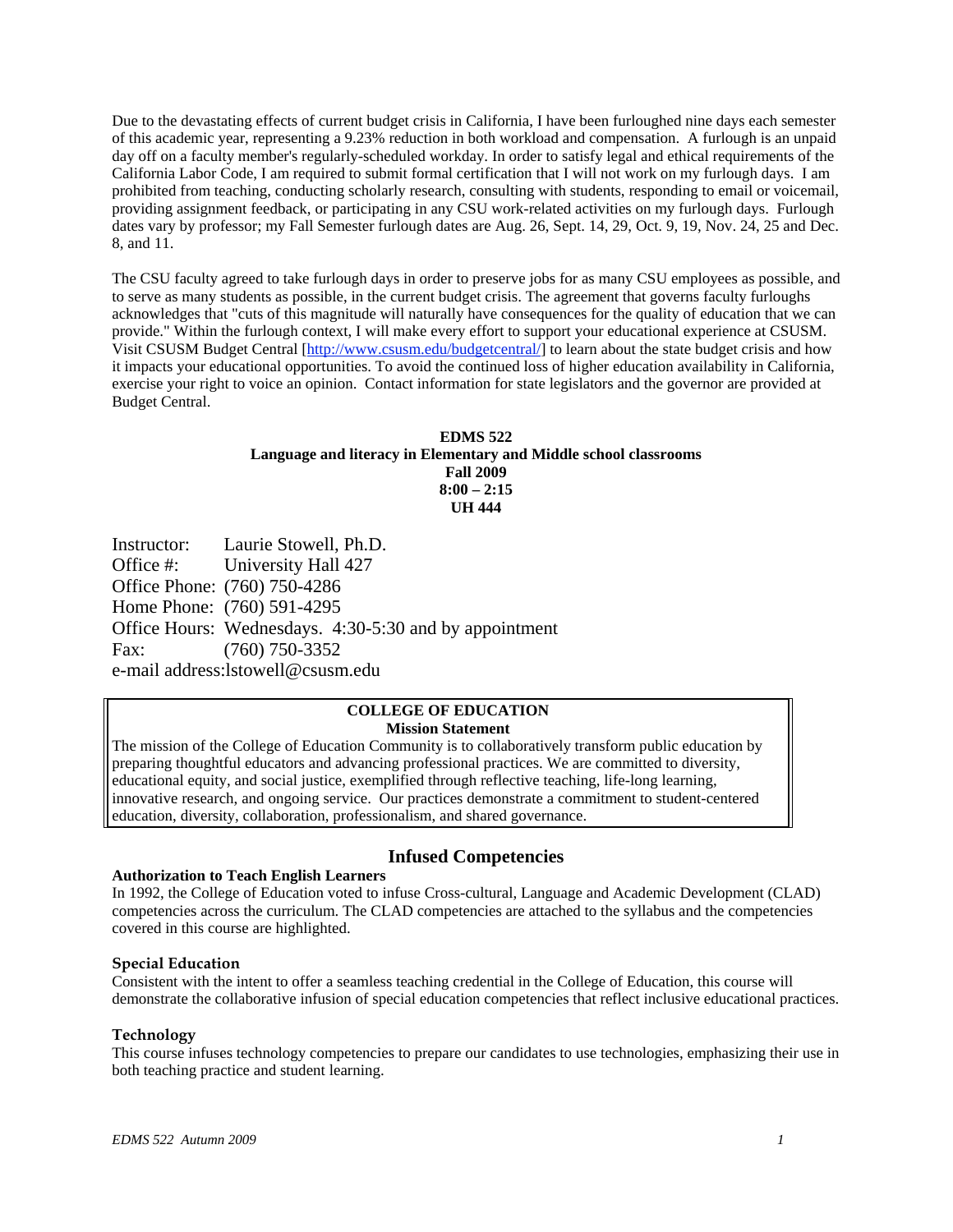Due to the devastating effects of current budget crisis in California, I have been furloughed nine days each semester of this academic year, representing a 9.23% reduction in both workload and compensation. A furlough is an unpaid day off on a faculty member's regularly-scheduled workday. In order to satisfy legal and ethical requirements of the California Labor Code, I am required to submit formal certification that I will not work on my furlough days. I am prohibited from teaching, conducting scholarly research, consulting with students, responding to email or voicemail, providing assignment feedback, or participating in any CSU work-related activities on my furlough days. Furlough dates vary by professor; my Fall Semester furlough dates are Aug. 26, Sept. 14, 29, Oct. 9, 19, Nov. 24, 25 and Dec. 8, and 11.

The CSU faculty agreed to take furlough days in order to preserve jobs for as many CSU employees as possible, and to serve as many students as possible, in the current budget crisis. The agreement that governs faculty furloughs acknowledges that "cuts of this magnitude will naturally have consequences for the quality of education that we can provide." Within the furlough context, I will make every effort to support your educational experience at CSUSM. Visit CSUSM Budget Central [http://www.csusm.edu/budgetcentral/] to learn about the state budget crisis and how it impacts your educational opportunities. To avoid the continued loss of higher education availability in California, exercise your right to voice an opinion. Contact information for state legislators and the governor are provided at Budget Central.

## **EDMS 522 Language and literacy in Elementary and Middle school classrooms Fall 2009 8:00 – 2:15 UH 444**

Instructor: Laurie Stowell, Ph.D. Office #: University Hall 427 Office Phone: (760) 750-4286 Home Phone: (760) 591-4295 Office Hours: Wednesdays. 4:30-5:30 and by appointment Fax: (760) 750-3352 e-mail address:lstowell@csusm.edu

#### **COLLEGE OF EDUCATION Mission Statement**

The mission of the College of Education Community is to collaboratively transform public education by preparing thoughtful educators and advancing professional practices. We are committed to diversity, educational equity, and social justice, exemplified through reflective teaching, life-long learning, innovative research, and ongoing service. Our practices demonstrate a commitment to student-centered education, diversity, collaboration, professionalism, and shared governance.

## **Authorization to Teach English Learners**

# **Infused Competencies**

In 1992, the College of Education voted to infuse Cross-cultural, Language and Academic Development (CLAD) competencies across the curriculum. The CLAD competencies are attached to the syllabus and the competencies covered in this course are highlighted.

## **Special Education**

Consistent with the intent to offer a seamless teaching credential in the College of Education, this course will demonstrate the collaborative infusion of special education competencies that reflect inclusive educational practices.

## **Technology**

This course infuses technology competencies to prepare our candidates to use technologies, emphasizing their use in both teaching practice and student learning.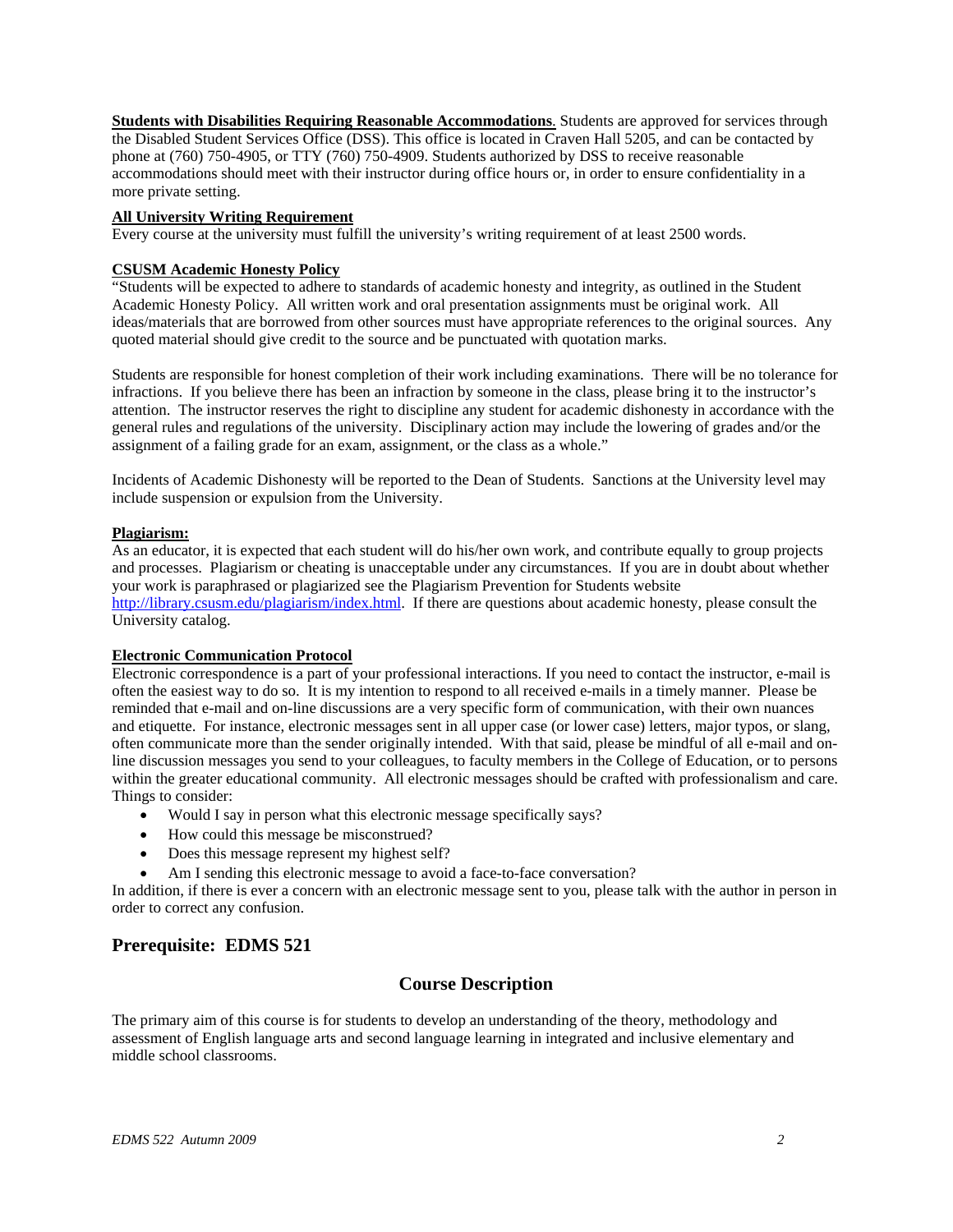more private setting. **Students with Disabilities Requiring Reasonable Accommodations**. Students are approved for services through the Disabled Student Services Office (DSS). This office is located in Craven Hall 5205, and can be contacted by phone at (760) 750-4905, or TTY (760) 750-4909. Students authorized by DSS to receive reasonable accommodations should meet with their instructor during office hours or, in order to ensure confidentiality in a

#### **All University Writing Requirement**

Every course at the university must fulfill the university's writing requirement of at least 2500 words.

### **CSUSM Academic Honesty Policy**

"Students will be expected to adhere to standards of academic honesty and integrity, as outlined in the Student Academic Honesty Policy. All written work and oral presentation assignments must be original work. All ideas/materials that are borrowed from other sources must have appropriate references to the original sources. Any quoted material should give credit to the source and be punctuated with quotation marks.

Students are responsible for honest completion of their work including examinations. There will be no tolerance for infractions. If you believe there has been an infraction by someone in the class, please bring it to the instructor's attention. The instructor reserves the right to discipline any student for academic dishonesty in accordance with the general rules and regulations of the university. Disciplinary action may include the lowering of grades and/or the assignment of a failing grade for an exam, assignment, or the class as a whole."

Incidents of Academic Dishonesty will be reported to the Dean of Students. Sanctions at the University level may include suspension or expulsion from the University.

#### **Plagiarism:**

As an educator, it is expected that each student will do his/her own work, and contribute equally to group projects and processes. Plagiarism or cheating is unacceptable under any circumstances. If you are in doubt about whether your work is paraphrased or plagiarized see the Plagiarism Prevention for Students website http://library.csusm.edu/plagiarism/index.html. If there are questions about academic honesty, please consult the University catalog.

#### **Electronic Communication Protocol**

Electronic correspondence is a part of your professional interactions. If you need to contact the instructor, e-mail is often the easiest way to do so. It is my intention to respond to all received e-mails in a timely manner. Please be reminded that e-mail and on-line discussions are a very specific form of communication, with their own nuances and etiquette. For instance, electronic messages sent in all upper case (or lower case) letters, major typos, or slang, often communicate more than the sender originally intended. With that said, please be mindful of all e-mail and online discussion messages you send to your colleagues, to faculty members in the College of Education, or to persons within the greater educational community. All electronic messages should be crafted with professionalism and care. Things to consider:

- Would I say in person what this electronic message specifically says?
- How could this message be misconstrued?
- Does this message represent my highest self?
- Am I sending this electronic message to avoid a face-to-face conversation?

In addition, if there is ever a concern with an electronic message sent to you, please talk with the author in person in order to correct any confusion.

## **Prerequisite: EDMS 521**

## **Course Description**

The primary aim of this course is for students to develop an understanding of the theory, methodology and assessment of English language arts and second language learning in integrated and inclusive elementary and middle school classrooms.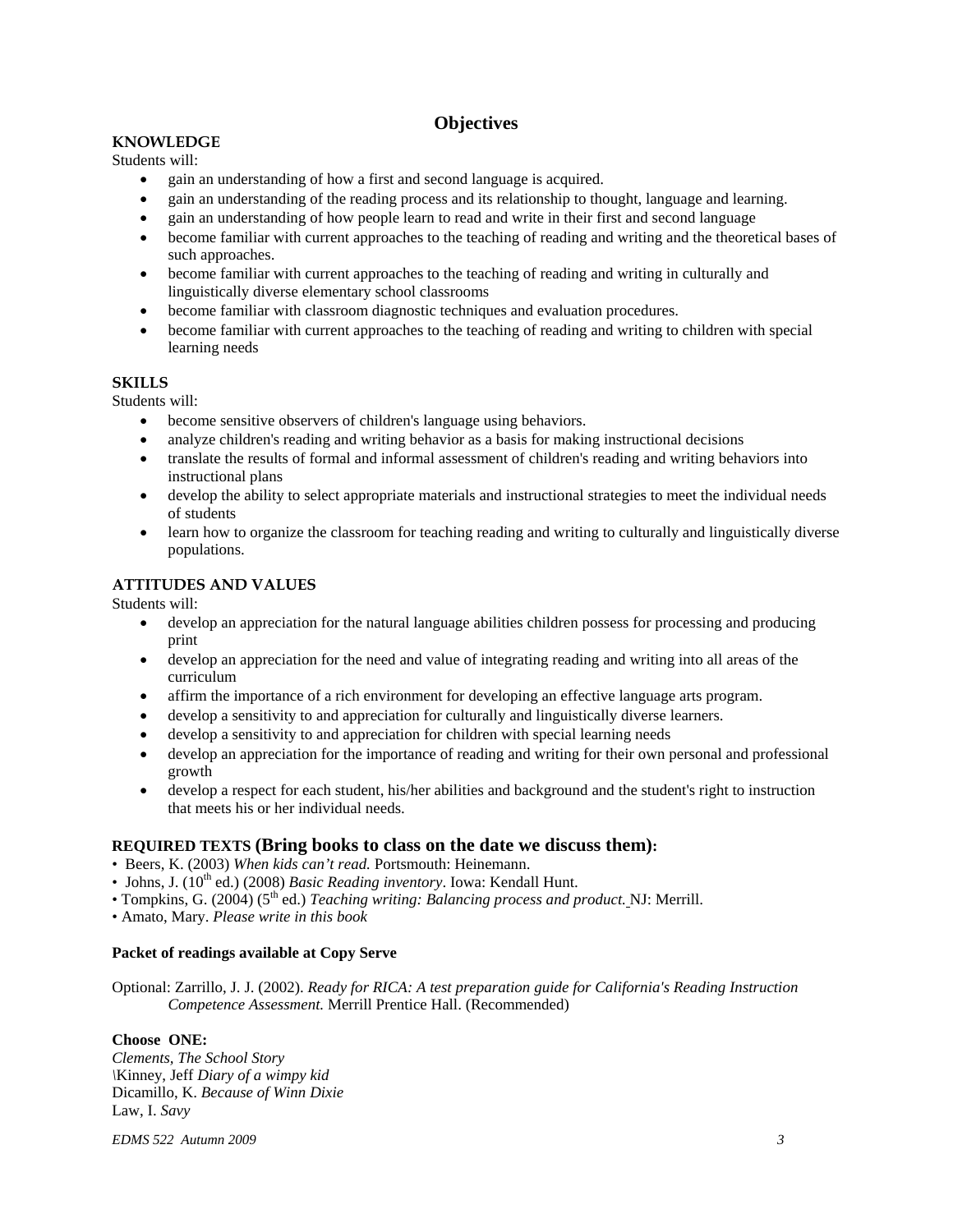# **Objectives**

## **KNOWLEDGE**

Students will:

- gain an understanding of how a first and second language is acquired.
- gain an understanding of the reading process and its relationship to thought, language and learning.
- gain an understanding of how people learn to read and write in their first and second language
- become familiar with current approaches to the teaching of reading and writing and the theoretical bases of such approaches.
- become familiar with current approaches to the teaching of reading and writing in culturally and linguistically diverse elementary school classrooms
- become familiar with classroom diagnostic techniques and evaluation procedures.
- become familiar with current approaches to the teaching of reading and writing to children with special learning needs

## **SKILLS**

Students will:

- become sensitive observers of children's language using behaviors.
- analyze children's reading and writing behavior as a basis for making instructional decisions
- translate the results of formal and informal assessment of children's reading and writing behaviors into instructional plans
- develop the ability to select appropriate materials and instructional strategies to meet the individual needs of students
- learn how to organize the classroom for teaching reading and writing to culturally and linguistically diverse populations.

## **ATTITUDES AND VALUES**

Students will:

- develop an appreciation for the natural language abilities children possess for processing and producing print
- develop an appreciation for the need and value of integrating reading and writing into all areas of the curriculum
- affirm the importance of a rich environment for developing an effective language arts program.
- develop a sensitivity to and appreciation for culturally and linguistically diverse learners.
- develop a sensitivity to and appreciation for children with special learning needs
- develop an appreciation for the importance of reading and writing for their own personal and professional growth
- develop a respect for each student, his/her abilities and background and the student's right to instruction that meets his or her individual needs.

## **REQUIRED TEXTS (Bring books to class on the date we discuss them):**

- Beers, K. (2003) *When kids can't read.* Portsmouth: Heinemann.
- Johns, J. (10<sup>th</sup> ed.) (2008) *Basic Reading inventory*. Iowa: Kendall Hunt.
- Tompkins, G. (2004) (5<sup>th</sup> ed.) *Teaching writing: Balancing process and product*. NJ: Merrill.

• Amato, Mary. *Please write in this book* 

## **Packet of readings available at Copy Serve**

Optional: Zarrillo, J. J. (2002). *Ready for RICA: A test preparation guide for California's Reading Instruction Competence Assessment.* Merrill Prentice Hall. (Recommended)

## **Choose ONE:**

*Clements, The School Story \*Kinney, Jeff *Diary of a wimpy kid*  Dicamillo, K. *Because of Winn Dixie*  Law, I. *Savy* 

*EDMS 522 Autumn 2009 3*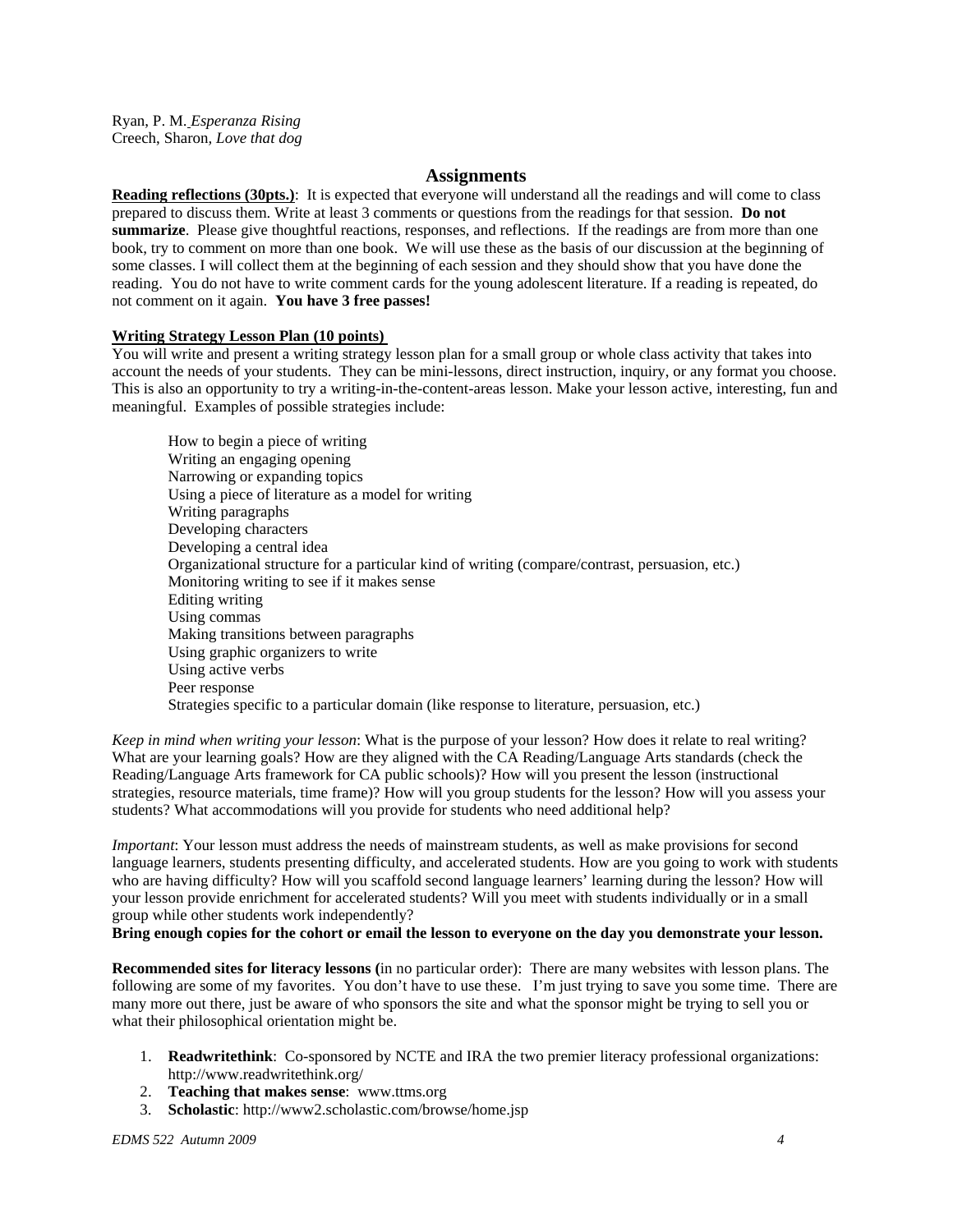Ryan, P. M. *Esperanza Rising*  Creech, Sharon*, Love that dog* 

#### **Assignments**

**Reading reflections (30pts.)**: It is expected that everyone will understand all the readings and will come to class prepared to discuss them. Write at least 3 comments or questions from the readings for that session. **Do not summarize**. Please give thoughtful reactions, responses, and reflections. If the readings are from more than one book, try to comment on more than one book. We will use these as the basis of our discussion at the beginning of some classes. I will collect them at the beginning of each session and they should show that you have done the reading. You do not have to write comment cards for the young adolescent literature. If a reading is repeated, do not comment on it again. **You have 3 free passes!** 

#### **Writing Strategy Lesson Plan (10 points)**

You will write and present a writing strategy lesson plan for a small group or whole class activity that takes into account the needs of your students. They can be mini-lessons, direct instruction, inquiry, or any format you choose. This is also an opportunity to try a writing-in-the-content-areas lesson. Make your lesson active, interesting, fun and meaningful. Examples of possible strategies include:

How to begin a piece of writing Writing an engaging opening Narrowing or expanding topics Using a piece of literature as a model for writing Writing paragraphs Developing characters Developing a central idea Organizational structure for a particular kind of writing (compare/contrast, persuasion, etc.) Monitoring writing to see if it makes sense Editing writing Using commas Making transitions between paragraphs Using graphic organizers to write Using active verbs Peer response Strategies specific to a particular domain (like response to literature, persuasion, etc.)

*Keep in mind when writing your lesson*: What is the purpose of your lesson? How does it relate to real writing? What are your learning goals? How are they aligned with the CA Reading/Language Arts standards (check the Reading/Language Arts framework for CA public schools)? How will you present the lesson (instructional strategies, resource materials, time frame)? How will you group students for the lesson? How will you assess your students? What accommodations will you provide for students who need additional help?

*Important*: Your lesson must address the needs of mainstream students, as well as make provisions for second language learners, students presenting difficulty, and accelerated students. How are you going to work with students who are having difficulty? How will you scaffold second language learners' learning during the lesson? How will your lesson provide enrichment for accelerated students? Will you meet with students individually or in a small group while other students work independently?

#### **Bring enough copies for the cohort or email the lesson to everyone on the day you demonstrate your lesson.**

**Recommended sites for literacy lessons (**in no particular order): There are many websites with lesson plans. The following are some of my favorites. You don't have to use these. I'm just trying to save you some time. There are many more out there, just be aware of who sponsors the site and what the sponsor might be trying to sell you or what their philosophical orientation might be.

- 1. **Readwritethink**: Co-sponsored by NCTE and IRA the two premier literacy professional organizations: http://www.readwritethink.org/
- 2. **Teaching that makes sense**: www.ttms.org
- 3. **Scholastic**: http://www2.scholastic.com/browse/home.jsp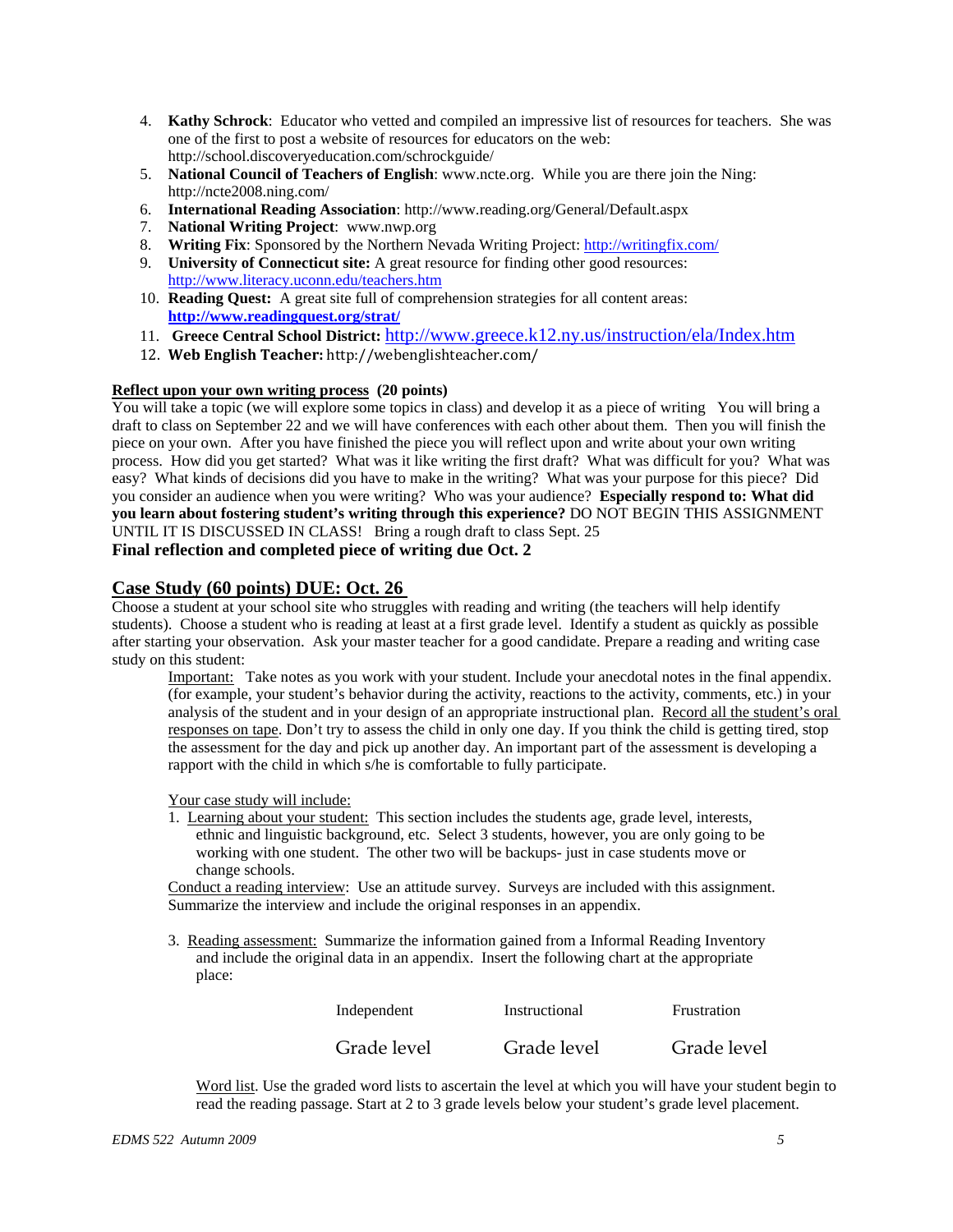- 4. **Kathy Schrock**: Educator who vetted and compiled an impressive list of resources for teachers. She was one of the first to post a website of resources for educators on the web: http://school.discoveryeducation.com/schrockguide/
- 5. **National Council of Teachers of English**: www.ncte.org. While you are there join the Ning: http://ncte2008.ning.com/
- 6. **International Reading Association**: http://www.reading.org/General/Default.aspx
- 7. **National Writing Project**: www.nwp.org
- 8. **Writing Fix**: Sponsored by the Northern Nevada Writing Project: http://writingfix.com/
- 9. **University of Connecticut site:** A great resource for finding other good resources: http://www.literacy.uconn.edu/teachers.htm
- 10. **Reading Quest:** A great site full of comprehension strategies for all content areas: **http://www.readingquest.org/strat/**
- 11. **Greece Central School District:** http://www.greece.k12.ny.us/instruction/ela/Index.htm
- 12. **Web English Teacher:** ht tp://webeng lishtea cher.com/

## **Reflect upon your own writing process** (20 points)

You will take a topic (we will explore some topics in class) and develop it as a piece of writing You will bring a draft to class on September 22 and we will have conferences with each other about them. Then you will finish the piece on your own. After you have finished the piece you will reflect upon and write about your own writing process. How did you get started? What was it like writing the first draft? What was difficult for you? What was easy? What kinds of decisions did you have to make in the writing? What was your purpose for this piece? Did you consider an audience when you were writing? Who was your audience? **Especially respond to: What did you learn about fostering student's writing through this experience?** DO NOT BEGIN THIS ASSIGNMENT UNTIL IT IS DISCUSSED IN CLASS! Bring a rough draft to class Sept. 25 **Final reflection and completed piece of writing due Oct. 2** 

## **Case Study (60 points) DUE: Oct. 26**

Choose a student at your school site who struggles with reading and writing (the teachers will help identify students). Choose a student who is reading at least at a first grade level. Identify a student as quickly as possible after starting your observation. Ask your master teacher for a good candidate. Prepare a reading and writing case study on this student:

Important: Take notes as you work with your student. Include your anecdotal notes in the final appendix. (for example, your student's behavior during the activity, reactions to the activity, comments, etc.) in your analysis of the student and in your design of an appropriate instructional plan. Record all the student's oral responses on tape. Don't try to assess the child in only one day. If you think the child is getting tired, stop the assessment for the day and pick up another day. An important part of the assessment is developing a rapport with the child in which s/he is comfortable to fully participate.

## Your case study will include:

1. Learning about your student: This section includes the students age, grade level, interests, ethnic and linguistic background, etc. Select 3 students, however, you are only going to be working with one student. The other two will be backups- just in case students move or change schools.

Conduct a reading interview: Use an attitude survey. Surveys are included with this assignment. Summarize the interview and include the original responses in an appendix.

3. Reading assessment: Summarize the information gained from a Informal Reading Inventory and include the original data in an appendix. Insert the following chart at the appropriate place:

| Independent | Instructional | Frustration |
|-------------|---------------|-------------|
| Grade level | Grade level   | Grade level |

Word list. Use the graded word lists to ascertain the level at which you will have your student begin to read the reading passage. Start at 2 to 3 grade levels below your student's grade level placement.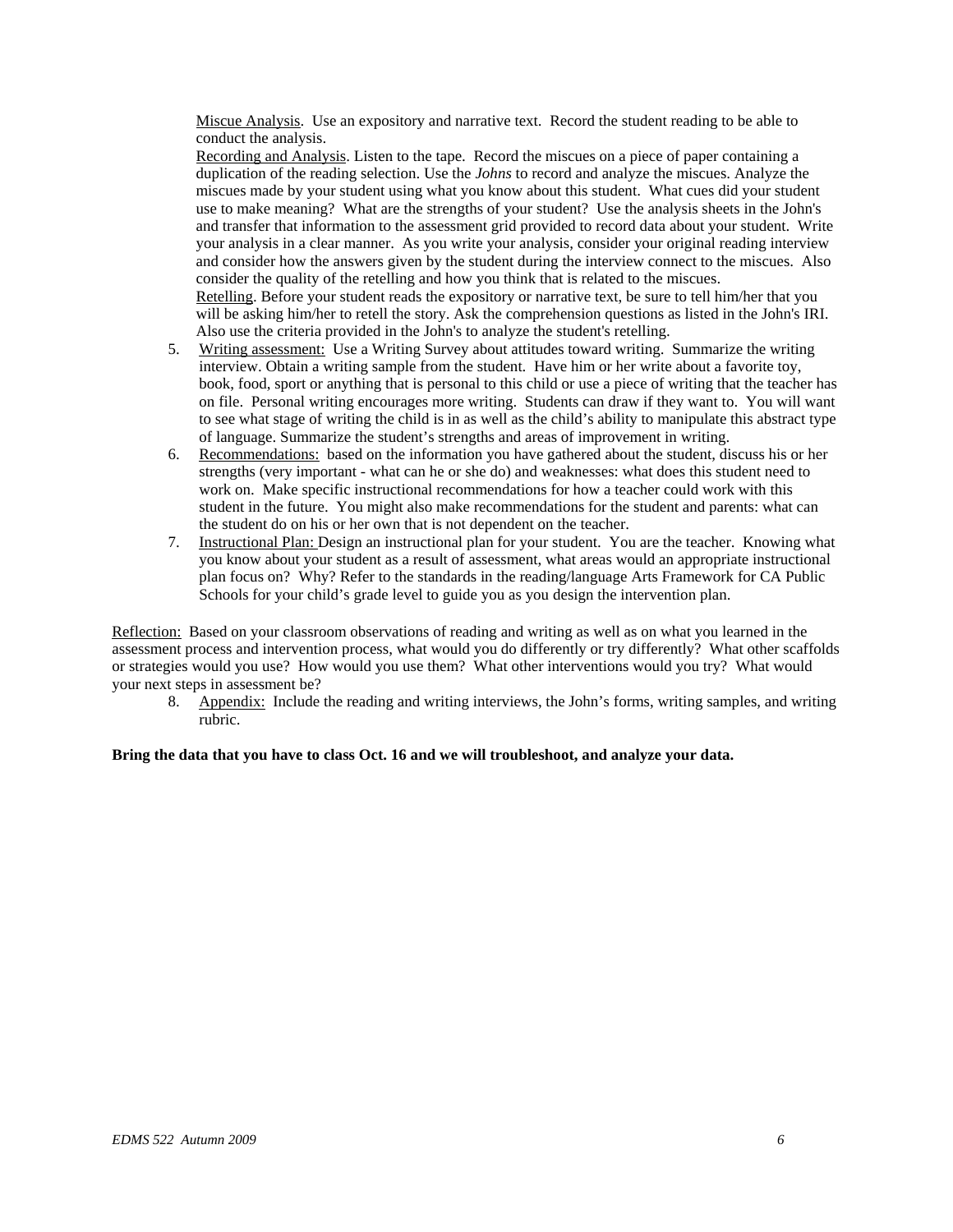Miscue Analysis. Use an expository and narrative text. Record the student reading to be able to conduct the analysis.

Recording and Analysis. Listen to the tape. Record the miscues on a piece of paper containing a duplication of the reading selection. Use the *Johns* to record and analyze the miscues. Analyze the miscues made by your student using what you know about this student. What cues did your student use to make meaning? What are the strengths of your student? Use the analysis sheets in the John's and transfer that information to the assessment grid provided to record data about your student. Write your analysis in a clear manner. As you write your analysis, consider your original reading interview and consider how the answers given by the student during the interview connect to the miscues. Also consider the quality of the retelling and how you think that is related to the miscues. Retelling. Before your student reads the expository or narrative text, be sure to tell him/her that you will be asking him/her to retell the story. Ask the comprehension questions as listed in the John's IRI. Also use the criteria provided in the John's to analyze the student's retelling.

- 5. Writing assessment: Use a Writing Survey about attitudes toward writing. Summarize the writing interview. Obtain a writing sample from the student. Have him or her write about a favorite toy, book, food, sport or anything that is personal to this child or use a piece of writing that the teacher has on file. Personal writing encourages more writing. Students can draw if they want to. You will want to see what stage of writing the child is in as well as the child's ability to manipulate this abstract type of language. Summarize the student's strengths and areas of improvement in writing.
- 6. Recommendations: based on the information you have gathered about the student, discuss his or her strengths (very important - what can he or she do) and weaknesses: what does this student need to work on. Make specific instructional recommendations for how a teacher could work with this student in the future. You might also make recommendations for the student and parents: what can the student do on his or her own that is not dependent on the teacher.
- 7. Instructional Plan: Design an instructional plan for your student. You are the teacher. Knowing what you know about your student as a result of assessment, what areas would an appropriate instructional plan focus on? Why? Refer to the standards in the reading/language Arts Framework for CA Public Schools for your child's grade level to guide you as you design the intervention plan.

Reflection: Based on your classroom observations of reading and writing as well as on what you learned in the assessment process and intervention process, what would you do differently or try differently? What other scaffolds or strategies would you use? How would you use them? What other interventions would you try? What would your next steps in assessment be?

8. Appendix: Include the reading and writing interviews, the John's forms, writing samples, and writing rubric.

**Bring the data that you have to class Oct. 16 and we will troubleshoot, and analyze your data.**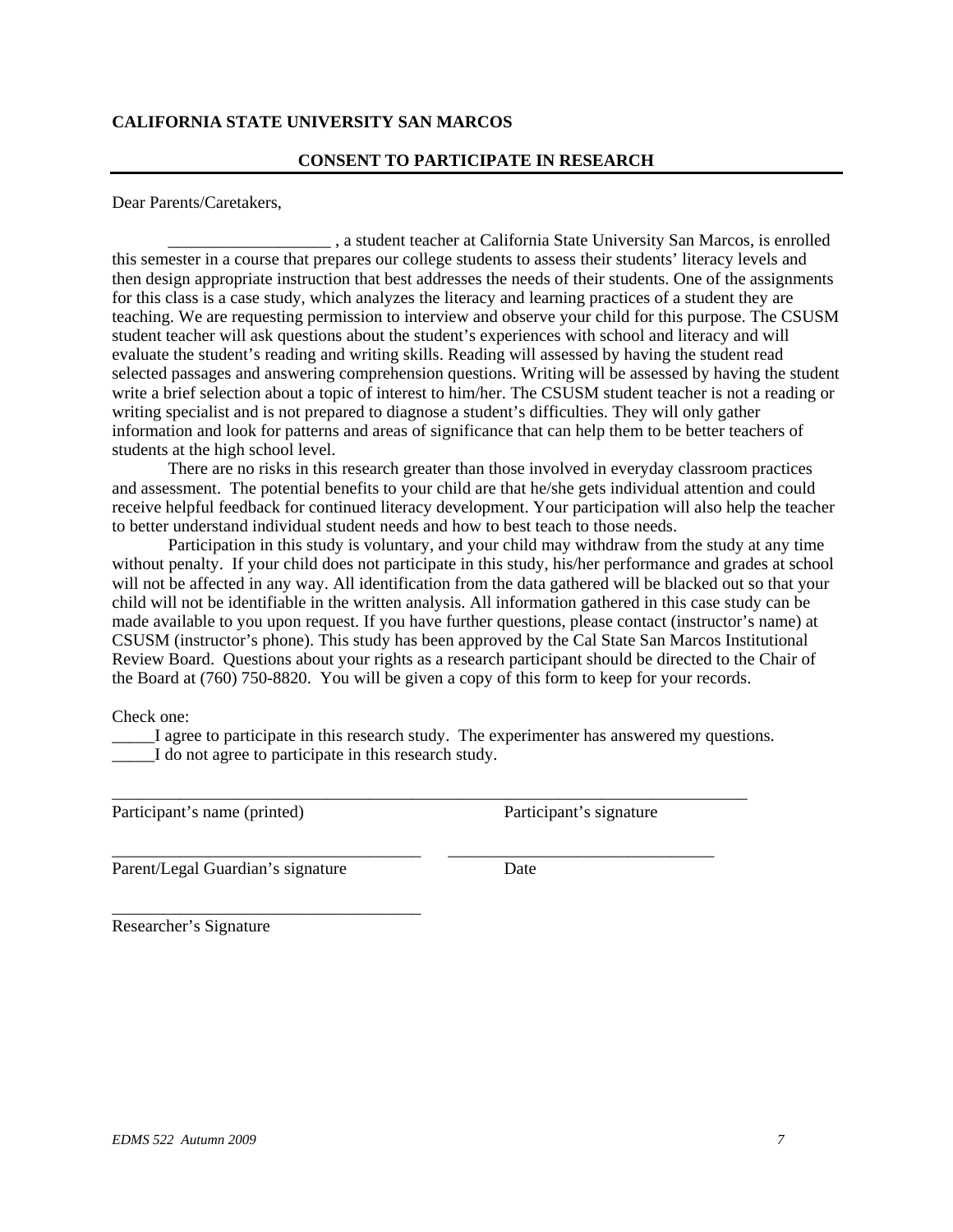## **CALIFORNIA STATE UNIVERSITY SAN MARCOS**

### **CONSENT TO PARTICIPATE IN RESEARCH**

Dear Parents/Caretakers,

\_\_\_\_\_\_\_\_\_\_\_\_\_\_\_\_\_\_\_ , a student teacher at California State University San Marcos, is enrolled this semester in a course that prepares our college students to assess their students' literacy levels and then design appropriate instruction that best addresses the needs of their students. One of the assignments for this class is a case study, which analyzes the literacy and learning practices of a student they are teaching. We are requesting permission to interview and observe your child for this purpose. The CSUSM student teacher will ask questions about the student's experiences with school and literacy and will evaluate the student's reading and writing skills. Reading will assessed by having the student read selected passages and answering comprehension questions. Writing will be assessed by having the student write a brief selection about a topic of interest to him/her. The CSUSM student teacher is not a reading or writing specialist and is not prepared to diagnose a student's difficulties. They will only gather information and look for patterns and areas of significance that can help them to be better teachers of students at the high school level.

There are no risks in this research greater than those involved in everyday classroom practices and assessment. The potential benefits to your child are that he/she gets individual attention and could receive helpful feedback for continued literacy development. Your participation will also help the teacher to better understand individual student needs and how to best teach to those needs.

Participation in this study is voluntary, and your child may withdraw from the study at any time without penalty. If your child does not participate in this study, his/her performance and grades at school will not be affected in any way. All identification from the data gathered will be blacked out so that your child will not be identifiable in the written analysis. All information gathered in this case study can be made available to you upon request. If you have further questions, please contact (instructor's name) at CSUSM (instructor's phone). This study has been approved by the Cal State San Marcos Institutional Review Board. Questions about your rights as a research participant should be directed to the Chair of the Board at (760) 750-8820. You will be given a copy of this form to keep for your records.

Check one:

\_\_\_\_\_I agree to participate in this research study. The experimenter has answered my questions. I do not agree to participate in this research study.

\_\_\_\_\_\_\_\_\_\_\_\_\_\_\_\_\_\_\_\_\_\_\_\_\_\_\_\_\_\_\_\_\_\_\_\_\_\_\_\_\_\_\_\_\_\_\_\_\_\_\_\_\_\_\_\_\_\_\_\_\_\_\_\_\_\_\_\_\_\_\_\_\_\_

\_\_\_\_\_\_\_\_\_\_\_\_\_\_\_\_\_\_\_\_\_\_\_\_\_\_\_\_\_\_\_\_\_\_\_\_ \_\_\_\_\_\_\_\_\_\_\_\_\_\_\_\_\_\_\_\_\_\_\_\_\_\_\_\_\_\_\_

Participant's name (printed) Participant's signature

Parent/Legal Guardian's signature Date

\_\_\_\_\_\_\_\_\_\_\_\_\_\_\_\_\_\_\_\_\_\_\_\_\_\_\_\_\_\_\_\_\_\_\_\_

Researcher's Signature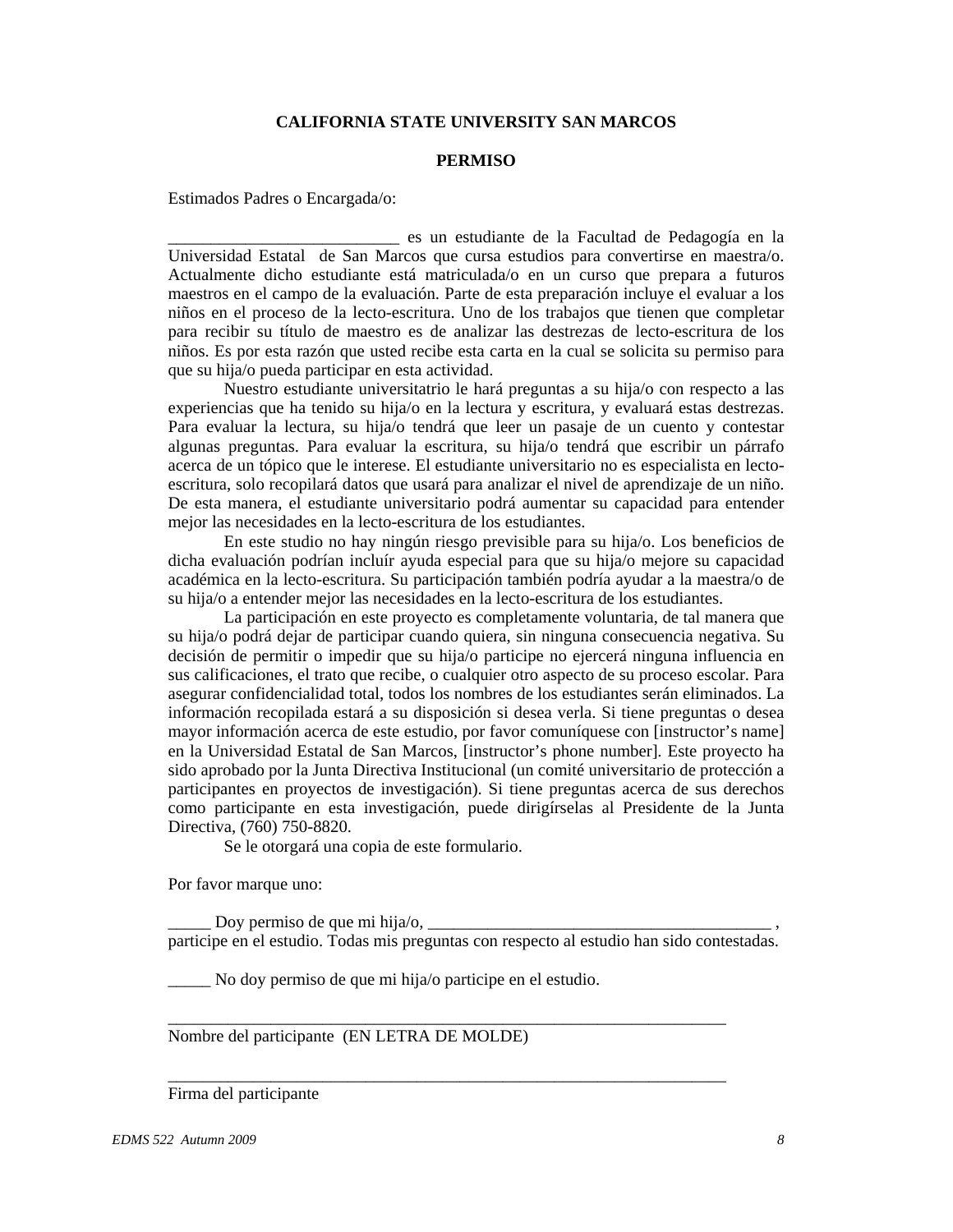## **CALIFORNIA STATE UNIVERSITY SAN MARCOS**

#### **PERMISO**

Estimados Padres o Encargada/o:

\_\_\_\_\_\_\_\_\_\_\_\_\_\_\_\_\_\_\_\_\_\_\_\_\_\_\_ es un estudiante de la Facultad de Pedagogía en la Universidad Estatal de San Marcos que cursa estudios para convertirse en maestra/o. Actualmente dicho estudiante está matriculada/o en un curso que prepara a futuros maestros en el campo de la evaluación. Parte de esta preparación incluye el evaluar a los niños en el proceso de la lecto-escritura. Uno de los trabajos que tienen que completar para recibir su título de maestro es de analizar las destrezas de lecto-escritura de los niños. Es por esta razón que usted recibe esta carta en la cual se solicita su permiso para que su hija/o pueda participar en esta actividad.

Nuestro estudiante universitatrio le hará preguntas a su hija/o con respecto a las experiencias que ha tenido su hija/o en la lectura y escritura, y evaluará estas destrezas. Para evaluar la lectura, su hija/o tendrá que leer un pasaje de un cuento y contestar algunas preguntas. Para evaluar la escritura, su hija/o tendrá que escribir un párrafo acerca de un tópico que le interese. El estudiante universitario no es especialista en lectoescritura, solo recopilará datos que usará para analizar el nivel de aprendizaje de un niño. De esta manera, el estudiante universitario podrá aumentar su capacidad para entender mejor las necesidades en la lecto-escritura de los estudiantes.

En este studio no hay ningún riesgo previsible para su hija/o. Los beneficios de dicha evaluación podrían incluír ayuda especial para que su hija/o mejore su capacidad académica en la lecto-escritura. Su participación también podría ayudar a la maestra/o de su hija/o a entender mejor las necesidades en la lecto-escritura de los estudiantes.

La participación en este proyecto es completamente voluntaria, de tal manera que su hija/o podrá dejar de participar cuando quiera, sin ninguna consecuencia negativa. Su decisión de permitir o impedir que su hija/o participe no ejercerá ninguna influencia en sus calificaciones, el trato que recibe, o cualquier otro aspecto de su proceso escolar. Para asegurar confidencialidad total, todos los nombres de los estudiantes serán eliminados. La información recopilada estará a su disposición si desea verla. Si tiene preguntas o desea mayor información acerca de este estudio, por favor comuníquese con [instructor's name] en la Universidad Estatal de San Marcos, [instructor's phone number]. Este proyecto ha sido aprobado por la Junta Directiva Institucional (un comité universitario de protección a participantes en proyectos de investigación). Si tiene preguntas acerca de sus derechos como participante en esta investigación, puede dirigírselas al Presidente de la Junta Directiva, (760) 750-8820.

Se le otorgará una copia de este formulario.

Por favor marque uno:

Doy permiso de que mi hija/o,  $\Box$ participe en el estudio. Todas mis preguntas con respecto al estudio han sido contestadas.

\_\_\_\_\_\_\_\_\_\_\_\_\_\_\_\_\_\_\_\_\_\_\_\_\_\_\_\_\_\_\_\_\_\_\_\_\_\_\_\_\_\_\_\_\_\_\_\_\_\_\_\_\_\_\_\_\_\_\_\_\_\_\_\_\_

\_\_\_\_\_\_\_\_\_\_\_\_\_\_\_\_\_\_\_\_\_\_\_\_\_\_\_\_\_\_\_\_\_\_\_\_\_\_\_\_\_\_\_\_\_\_\_\_\_\_\_\_\_\_\_\_\_\_\_\_\_\_\_\_\_

\_\_\_\_\_ No doy permiso de que mi hija/o participe en el estudio.

Nombre del participante (EN LETRA DE MOLDE)

Firma del participante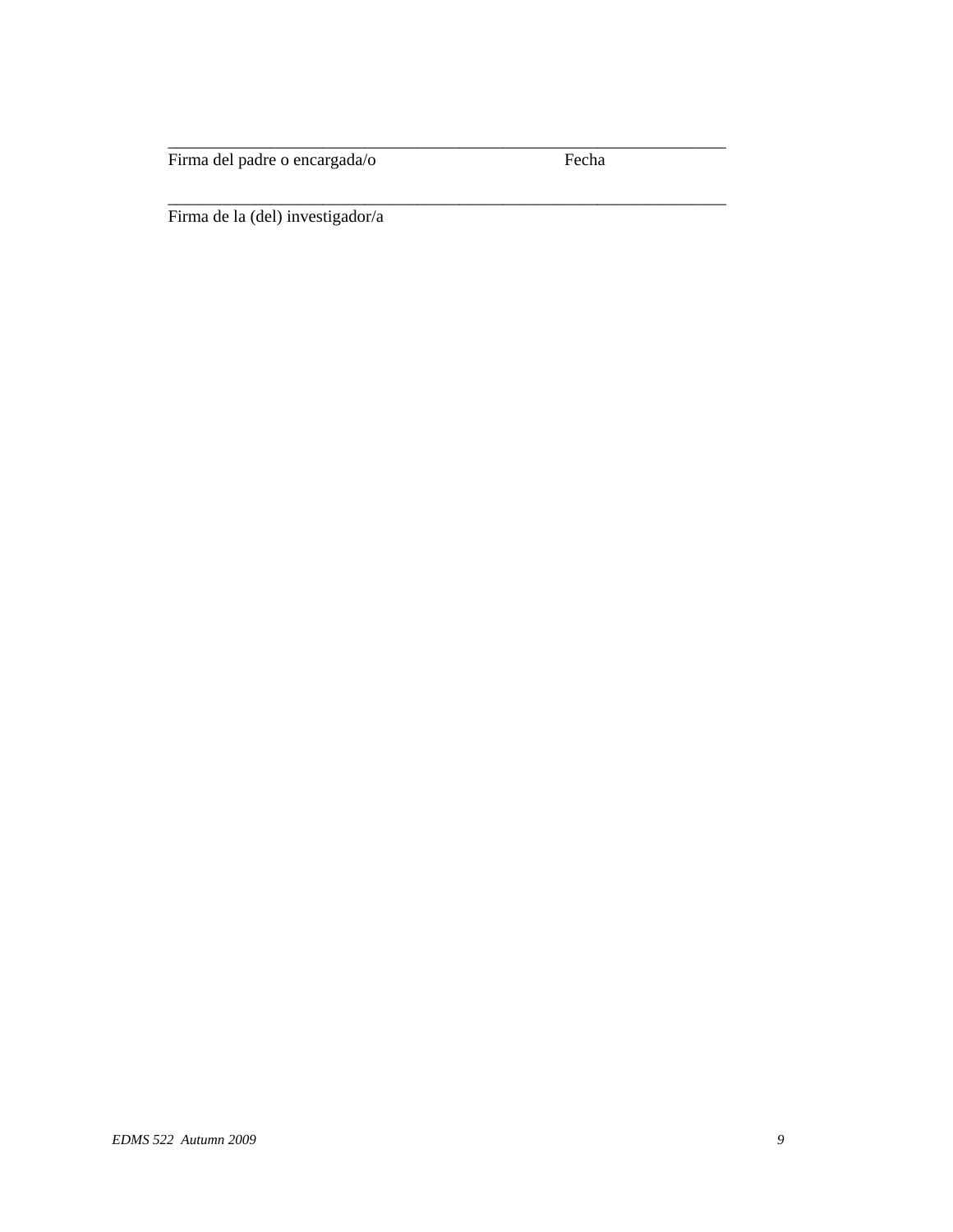Firma del padre o encargada/o Fecha

\_\_\_\_\_\_\_\_\_\_\_\_\_\_\_\_\_\_\_\_\_\_\_\_\_\_\_\_\_\_\_\_\_\_\_\_\_\_\_\_\_\_\_\_\_\_\_\_\_\_\_\_\_\_\_\_\_\_\_\_\_\_\_\_\_

\_\_\_\_\_\_\_\_\_\_\_\_\_\_\_\_\_\_\_\_\_\_\_\_\_\_\_\_\_\_\_\_\_\_\_\_\_\_\_\_\_\_\_\_\_\_\_\_\_\_\_\_\_\_\_\_\_\_\_\_\_\_\_\_\_

Firma de la (del) investigador/a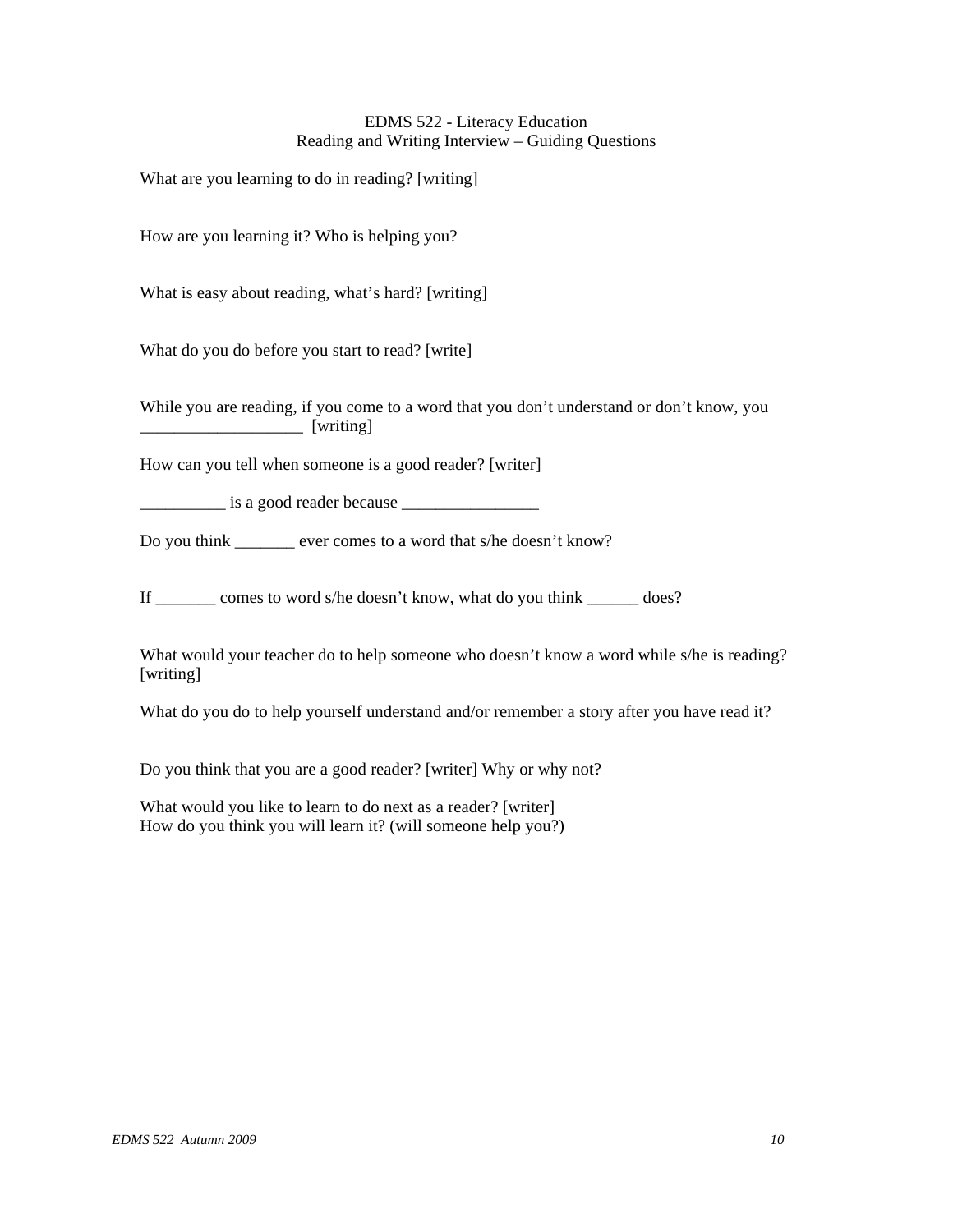## EDMS 522 - Literacy Education Reading and Writing Interview – Guiding Questions

What are you learning to do in reading? [writing]

How are you learning it? Who is helping you?

What is easy about reading, what's hard? [writing]

What do you do before you start to read? [write]

While you are reading, if you come to a word that you don't understand or don't know, you \_\_\_\_\_\_\_\_\_\_\_\_\_\_\_\_\_\_\_ [writing]

How can you tell when someone is a good reader? [writer]

\_\_\_\_\_\_\_\_\_\_ is a good reader because \_\_\_\_\_\_\_\_\_\_\_\_\_\_\_\_

Do you think ever comes to a word that s/he doesn't know?

If \_\_\_\_\_\_\_ comes to word s/he doesn't know, what do you think \_\_\_\_\_\_ does?

What would your teacher do to help someone who doesn't know a word while s/he is reading? [writing]

What do you do to help yourself understand and/or remember a story after you have read it?

Do you think that you are a good reader? [writer] Why or why not?

What would you like to learn to do next as a reader? [writer] How do you think you will learn it? (will someone help you?)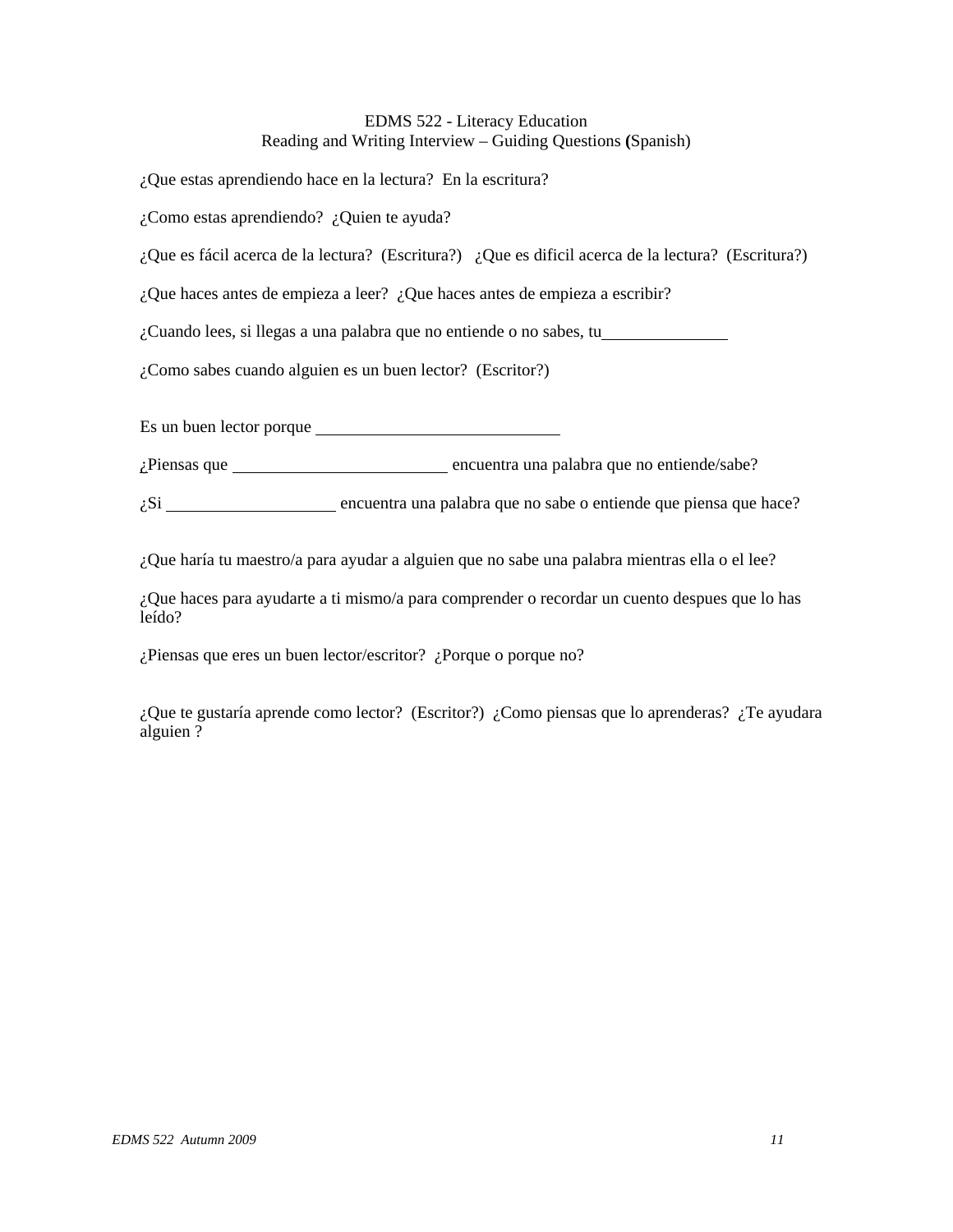## EDMS 522 - Literacy Education Reading and Writing Interview – Guiding Questions **(**Spanish)

¿Que estas aprendiendo hace en la lectura? En la escritura?

¿Como estas aprendiendo? ¿Quien te ayuda?

¿Que es fácil acerca de la lectura? (Escritura?) ¿Que es dificil acerca de la lectura? (Escritura?)

¿Que haces antes de empieza a leer? ¿Que haces antes de empieza a escribir?

¿Cuando lees, si llegas a una palabra que no entiende o no sabes, tu

¿Como sabes cuando alguien es un buen lector? (Escritor?)

Es un buen lector porque

¿Piensas que encuentra una palabra que no entiende/sabe?

 $\zeta$ Si  $\frac{1}{\zeta}$  encuentra una palabra que no sabe o entiende que piensa que hace?

¿Que haría tu maestro/a para ayudar a alguien que no sabe una palabra mientras ella o el lee?

¿Que haces para ayudarte a ti mismo/a para comprender o recordar un cuento despues que lo has leído?

¿Piensas que eres un buen lector/escritor? ¿Porque o porque no?

¿Que te gustaría aprende como lector? (Escritor?) ¿Como piensas que lo aprenderas? ¿Te ayudara alguien ?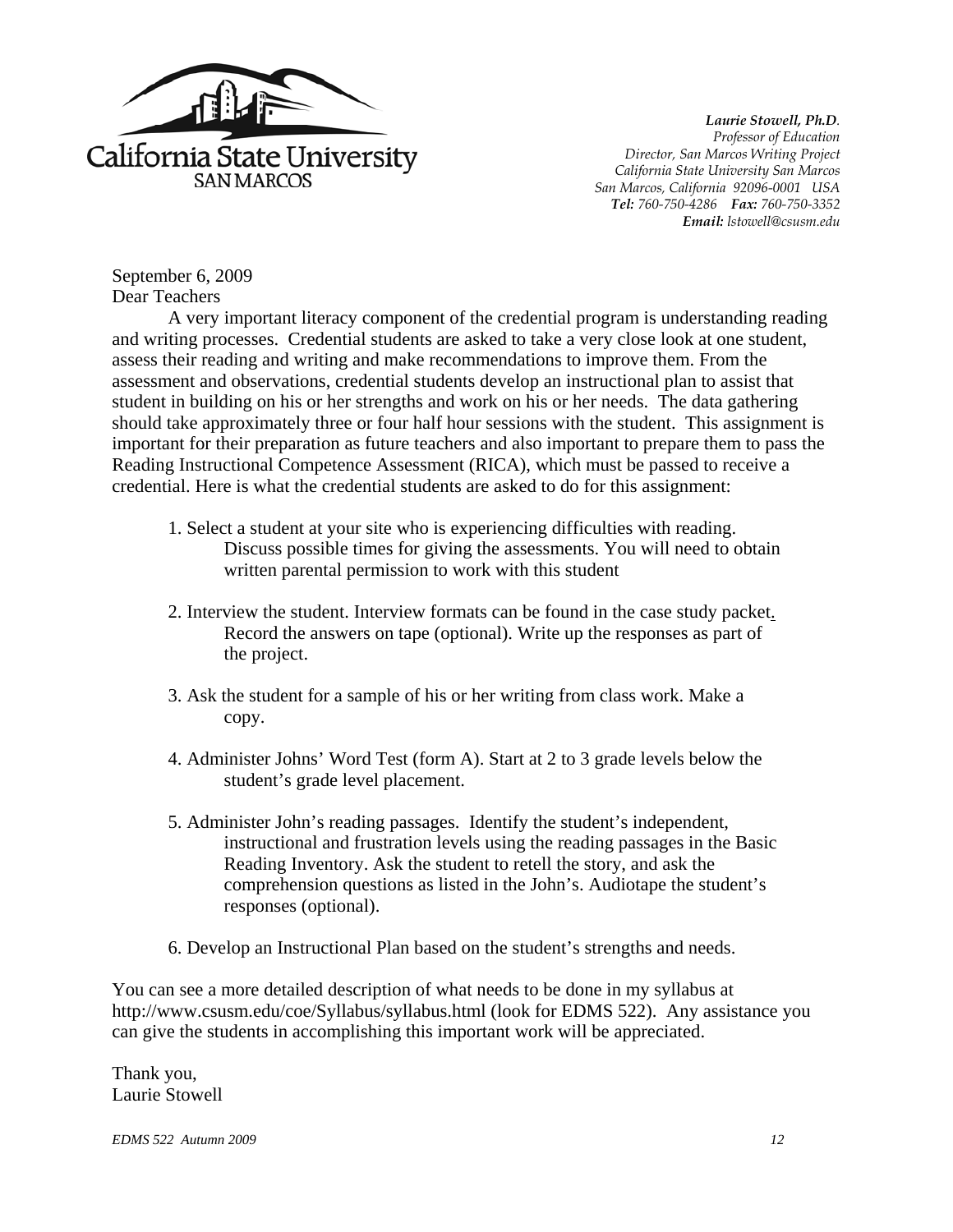

*Laurie Stowell, Ph.D. Professor of Education Director, San Marcos Writing Project California State University San Marcos San Marcos, California 92096-0001 USA Tel: 760-750-4286 Fax: 760-750-3352 Email: lstowell@csusm.edu* 

September 6, 2009 Dear Teachers

A very important literacy component of the credential program is understanding reading and writing processes. Credential students are asked to take a very close look at one student, assess their reading and writing and make recommendations to improve them. From the assessment and observations, credential students develop an instructional plan to assist that student in building on his or her strengths and work on his or her needs. The data gathering should take approximately three or four half hour sessions with the student. This assignment is important for their preparation as future teachers and also important to prepare them to pass the Reading Instructional Competence Assessment (RICA), which must be passed to receive a credential. Here is what the credential students are asked to do for this assignment:

- 1. Select a student at your site who is experiencing difficulties with reading. Discuss possible times for giving the assessments. You will need to obtain written parental permission to work with this student
- 2. Interview the student. Interview formats can be found in the case study packet. Record the answers on tape (optional). Write up the responses as part of the project.
- 3. Ask the student for a sample of his or her writing from class work. Make a copy.
- 4. Administer Johns' Word Test (form A). Start at 2 to 3 grade levels below the student's grade level placement.
- 5. Administer John's reading passages. Identify the student's independent, instructional and frustration levels using the reading passages in the Basic Reading Inventory. Ask the student to retell the story, and ask the comprehension questions as listed in the John's. Audiotape the student's responses (optional).
- 6. Develop an Instructional Plan based on the student's strengths and needs.

You can see a more detailed description of what needs to be done in my syllabus at http://www.csusm.edu/coe/Syllabus/syllabus.html (look for EDMS 522). Any assistance you can give the students in accomplishing this important work will be appreciated.

Thank you, Laurie Stowell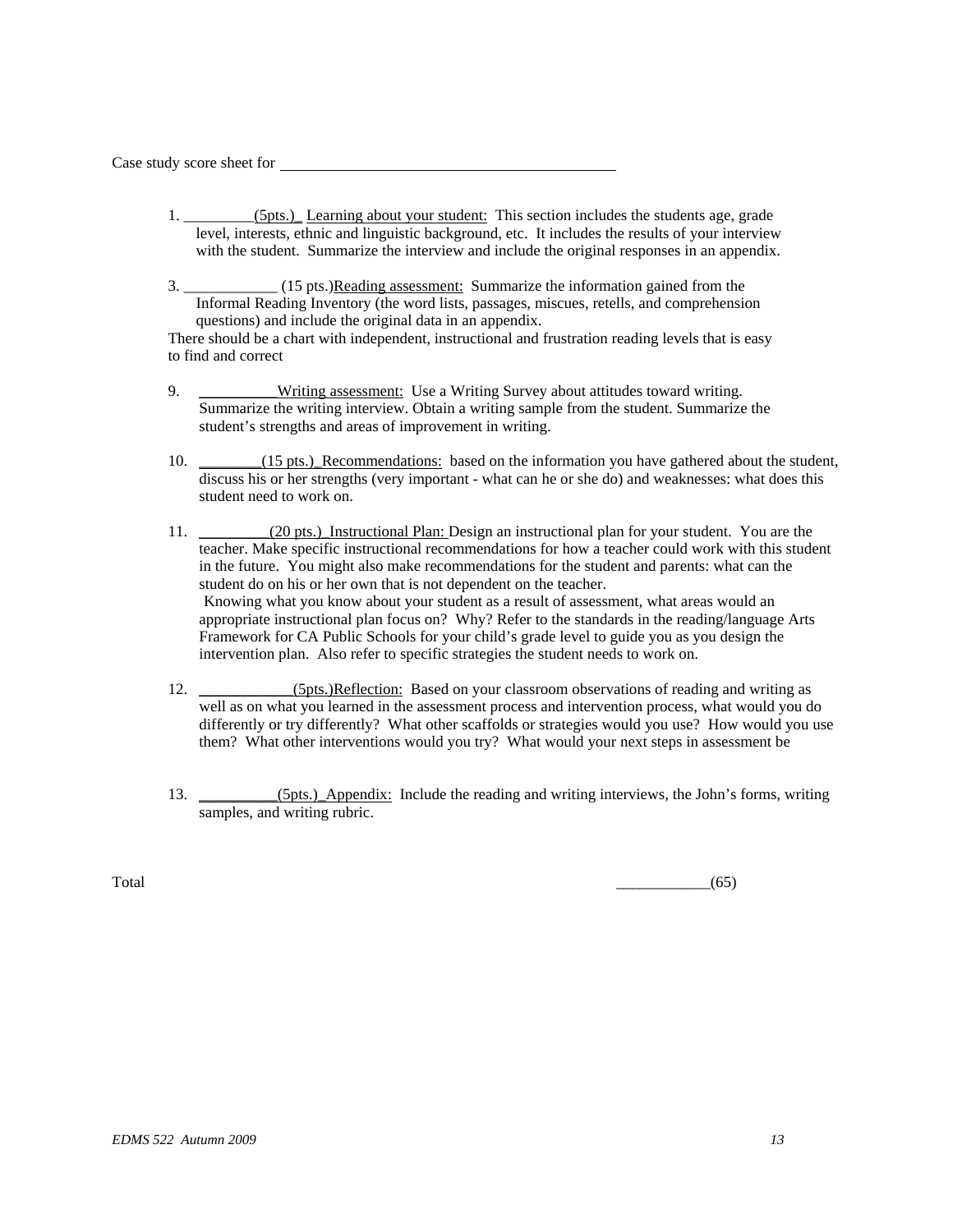Case study score sheet for

- 1.  $(5pts.)$  Learning about your student: This section includes the students age, grade level, interests, ethnic and linguistic background, etc. It includes the results of your interview with the student. Summarize the interview and include the original responses in an appendix.
- 3. \_\_\_\_\_\_\_\_\_\_\_\_ (15 pts.)Reading assessment: Summarize the information gained from the Informal Reading Inventory (the word lists, passages, miscues, retells, and comprehension questions) and include the original data in an appendix.

There should be a chart with independent, instructional and frustration reading levels that is easy to find and correct

- 9. **\_\_\_\_\_\_\_\_\_Writing assessment:** Use a Writing Survey about attitudes toward writing. Summarize the writing interview. Obtain a writing sample from the student. Summarize the student's strengths and areas of improvement in writing.
- 10. \_\_\_\_\_\_(15 pts.)\_Recommendations: based on the information you have gathered about the student, discuss his or her strengths (very important - what can he or she do) and weaknesses: what does this student need to work on.
- 11. \_\_\_\_\_\_\_\_(20 pts.) Instructional Plan: Design an instructional plan for your student. You are the teacher. Make specific instructional recommendations for how a teacher could work with this student in the future. You might also make recommendations for the student and parents: what can the student do on his or her own that is not dependent on the teacher. Knowing what you know about your student as a result of assessment, what areas would an appropriate instructional plan focus on? Why? Refer to the standards in the reading/language Arts Framework for CA Public Schools for your child's grade level to guide you as you design the intervention plan. Also refer to specific strategies the student needs to work on.
- 12. (5pts.)Reflection: Based on your classroom observations of reading and writing as well as on what you learned in the assessment process and intervention process, what would you do differently or try differently? What other scaffolds or strategies would you use? How would you use them? What other interventions would you try? What would your next steps in assessment be
- 13. \_\_\_\_\_\_\_\_\_(5pts.) Appendix: Include the reading and writing interviews, the John's forms, writing samples, and writing rubric.

 $\overline{\text{Total}}$  (65)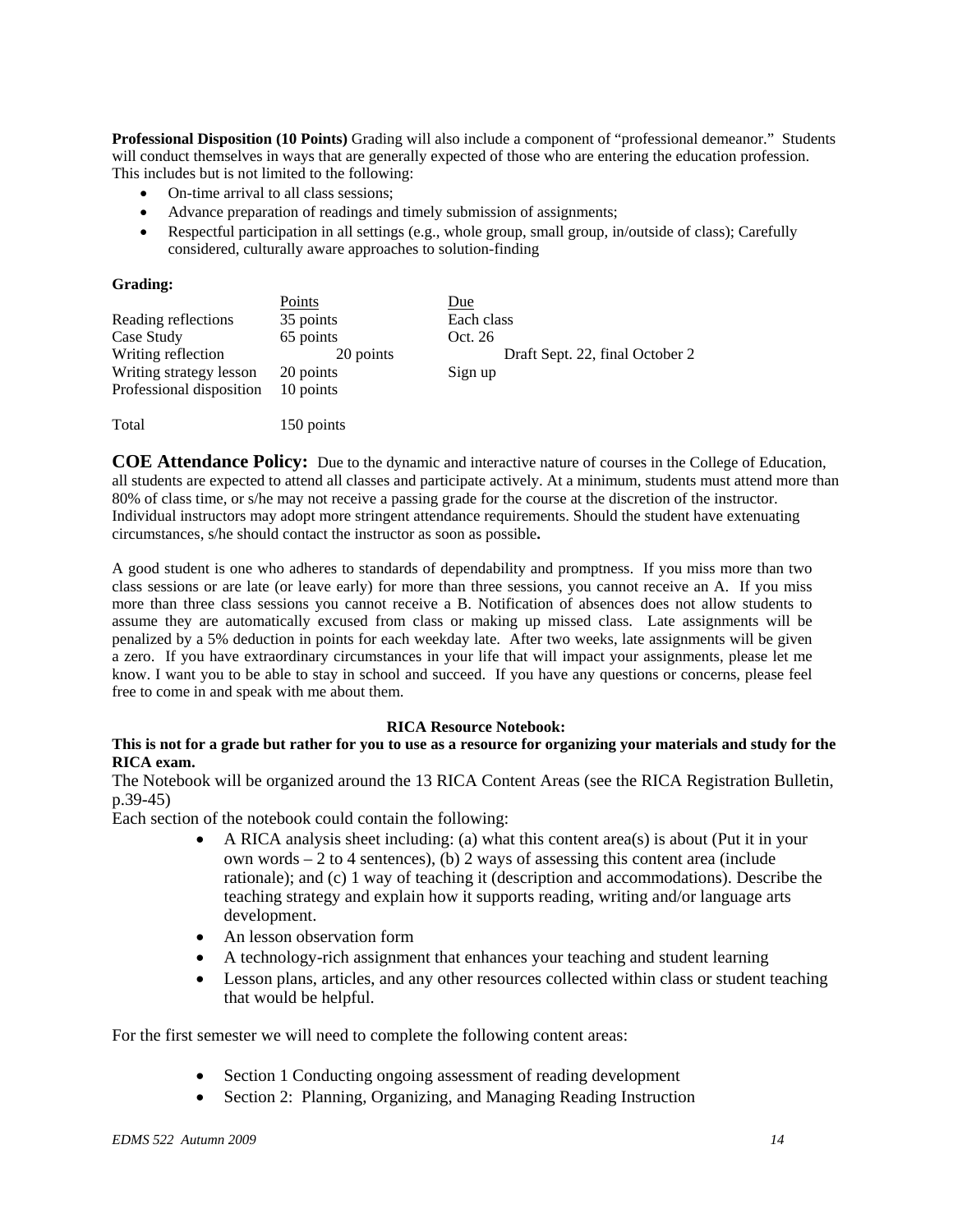**Professional Disposition (10 Points)** Grading will also include a component of "professional demeanor." Students will conduct themselves in ways that are generally expected of those who are entering the education profession. This includes but is not limited to the following:

- On-time arrival to all class sessions:
- Advance preparation of readings and timely submission of assignments;
- Respectful participation in all settings (e.g., whole group, small group, in/outside of class); Carefully considered, culturally aware approaches to solution-finding

#### **Grading:**

|                          | Points     | Due                             |
|--------------------------|------------|---------------------------------|
| Reading reflections      | 35 points  | Each class                      |
| Case Study               | 65 points  | Oct. 26                         |
| Writing reflection       | 20 points  | Draft Sept. 22, final October 2 |
| Writing strategy lesson  | 20 points  | Sign up                         |
| Professional disposition | 10 points  |                                 |
|                          |            |                                 |
| Total                    | 150 points |                                 |

**COE Attendance Policy:** Due to the dynamic and interactive nature of courses in the College of Education, all students are expected to attend all classes and participate actively. At a minimum, students must attend more than 80% of class time, or s/he may not receive a passing grade for the course at the discretion of the instructor. Individual instructors may adopt more stringent attendance requirements. Should the student have extenuating circumstances, s/he should contact the instructor as soon as possible**.** 

A good student is one who adheres to standards of dependability and promptness. If you miss more than two class sessions or are late (or leave early) for more than three sessions, you cannot receive an A. If you miss more than three class sessions you cannot receive a B. Notification of absences does not allow students to assume they are automatically excused from class or making up missed class. Late assignments will be penalized by a 5% deduction in points for each weekday late. After two weeks, late assignments will be given a zero. If you have extraordinary circumstances in your life that will impact your assignments, please let me know. I want you to be able to stay in school and succeed. If you have any questions or concerns, please feel free to come in and speak with me about them.

#### **RICA Resource Notebook:**

## **This is not for a grade but rather for you to use as a resource for organizing your materials and study for the RICA exam.**

The Notebook will be organized around the 13 RICA Content Areas (see the RICA Registration Bulletin, p.39-45)

Each section of the notebook could contain the following:

- A RICA analysis sheet including: (a) what this content area(s) is about (Put it in your own words – 2 to 4 sentences), (b) 2 ways of assessing this content area (include rationale); and (c) 1 way of teaching it (description and accommodations). Describe the teaching strategy and explain how it supports reading, writing and/or language arts development.
- An lesson observation form
- A technology-rich assignment that enhances your teaching and student learning
- Lesson plans, articles, and any other resources collected within class or student teaching that would be helpful.

For the first semester we will need to complete the following content areas:

- Section 1 Conducting ongoing assessment of reading development
- Section 2: Planning, Organizing, and Managing Reading Instruction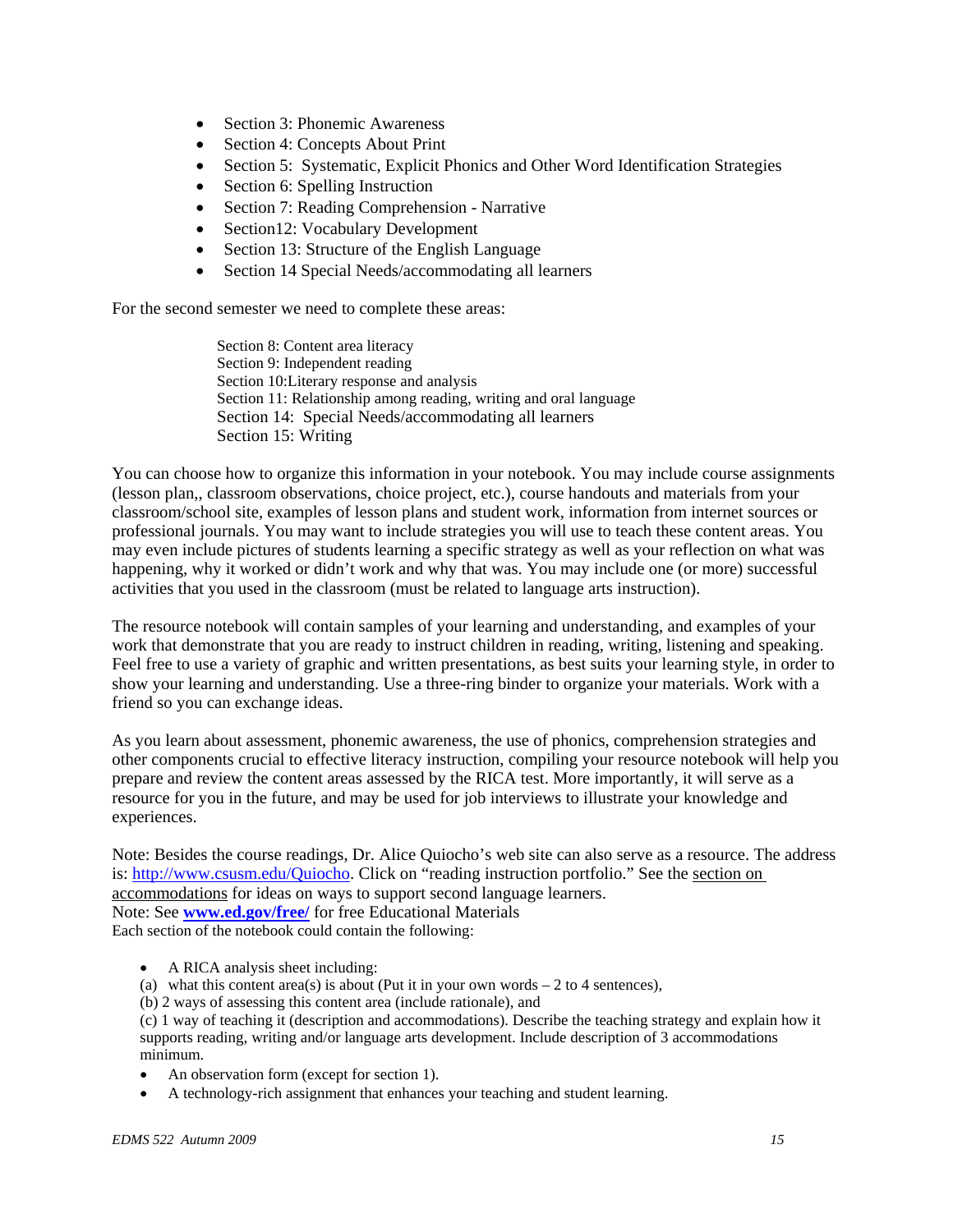- Section 3: Phonemic Awareness
- Section 4: Concepts About Print
- Section 5: Systematic, Explicit Phonics and Other Word Identification Strategies
- Section 6: Spelling Instruction
- Section 7: Reading Comprehension Narrative
- Section12: Vocabulary Development
- Section 13: Structure of the English Language
- Section 14 Special Needs/accommodating all learners

For the second semester we need to complete these areas:

Section 8: Content area literacy Section 9: Independent reading Section 10:Literary response and analysis Section 11: Relationship among reading, writing and oral language Section 14: Special Needs/accommodating all learners Section 15: Writing

You can choose how to organize this information in your notebook. You may include course assignments (lesson plan,, classroom observations, choice project, etc.), course handouts and materials from your classroom/school site, examples of lesson plans and student work, information from internet sources or professional journals. You may want to include strategies you will use to teach these content areas. You may even include pictures of students learning a specific strategy as well as your reflection on what was happening, why it worked or didn't work and why that was. You may include one (or more) successful activities that you used in the classroom (must be related to language arts instruction).

The resource notebook will contain samples of your learning and understanding, and examples of your work that demonstrate that you are ready to instruct children in reading, writing, listening and speaking. Feel free to use a variety of graphic and written presentations, as best suits your learning style, in order to show your learning and understanding. Use a three-ring binder to organize your materials. Work with a friend so you can exchange ideas.

As you learn about assessment, phonemic awareness, the use of phonics, comprehension strategies and other components crucial to effective literacy instruction, compiling your resource notebook will help you prepare and review the content areas assessed by the RICA test. More importantly, it will serve as a resource for you in the future, and may be used for job interviews to illustrate your knowledge and experiences.

Note: Besides the course readings, Dr. Alice Quiocho's web site can also serve as a resource. The address is: http://www.csusm.edu/Quiocho. Click on "reading instruction portfolio." See the section on accommodations for ideas on ways to support second language learners. Note: See **www.ed.gov/free/** for free Educational Materials Each section of the notebook could contain the following:

- A RICA analysis sheet including:
- (a) what this content area(s) is about (Put it in your own words  $-2$  to 4 sentences),
- (b) 2 ways of assessing this content area (include rationale), and

 minimum. (c) 1 way of teaching it (description and accommodations). Describe the teaching strategy and explain how it supports reading, writing and/or language arts development. Include description of 3 accommodations

- An observation form (except for section 1).
- A technology-rich assignment that enhances your teaching and student learning.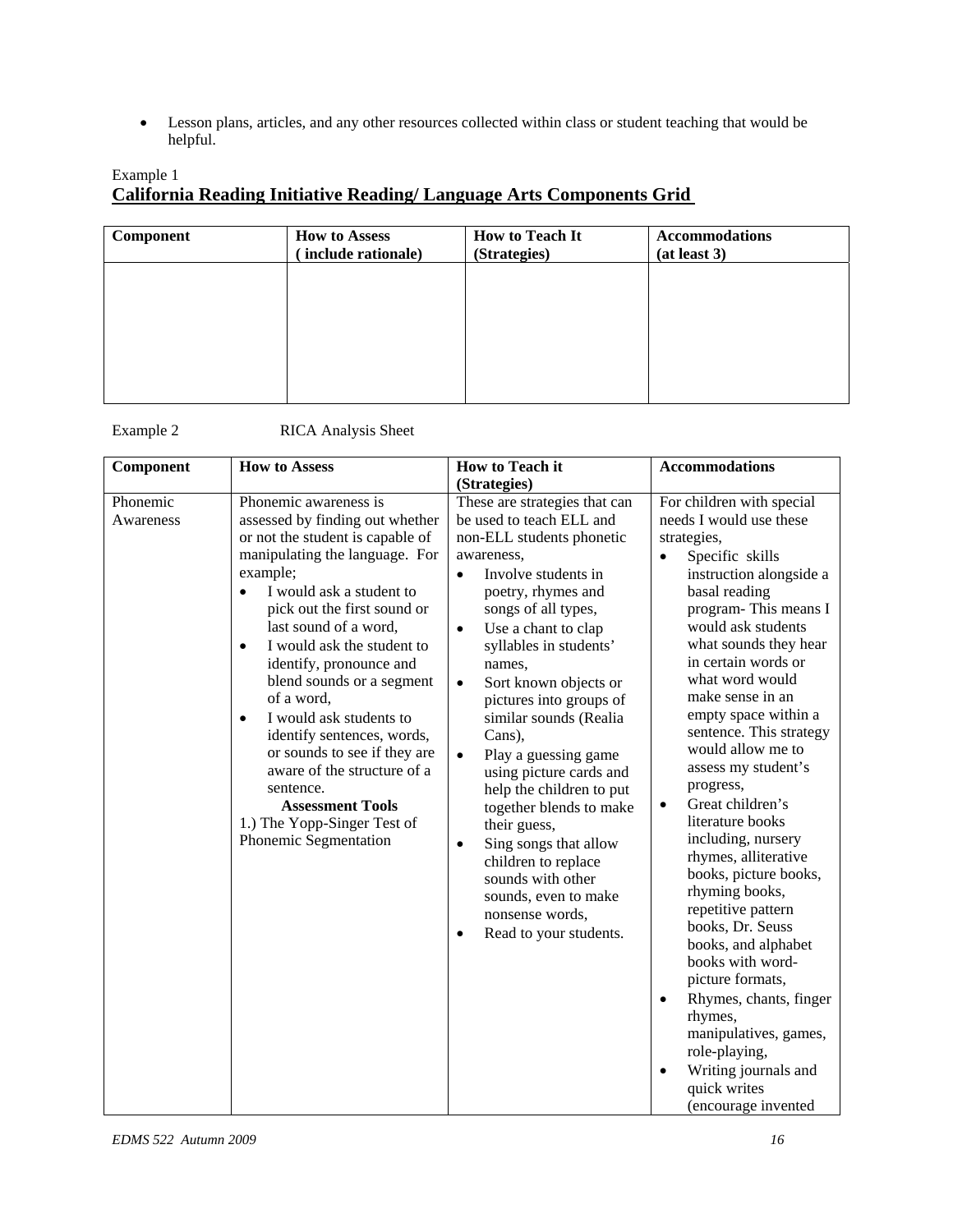Lesson plans, articles, and any other resources collected within class or student teaching that would be helpful.

# Example 1 **California Reading Initiative Reading/ Language Arts Components Grid**

| Component | <b>How to Assess</b><br>include rationale) | <b>How to Teach It</b><br>(Strategies) | <b>Accommodations</b><br>(at least 3) |
|-----------|--------------------------------------------|----------------------------------------|---------------------------------------|
|           |                                            |                                        |                                       |
|           |                                            |                                        |                                       |
|           |                                            |                                        |                                       |
|           |                                            |                                        |                                       |

Example 2 RICA Analysis Sheet

**Component** How to Assess How to Teach it **(Strategies) Accommodations**  Phonemic Phonemic awareness is These are strategies that can For children with special Awareness assessed by finding out whether or not the student is capable of manipulating the language. For example; • I would ask a student to pick out the first sound or last sound of a word, • I would ask the student to identify, pronounce and blend sounds or a segment of a word, • I would ask students to identify sentences, words, or sounds to see if they are aware of the structure of a sentence. **Assessment Tools**  1.) The Yopp-Singer Test of Phonemic Segmentation be used to teach ELL and non-ELL students phonetic awareness, • Involve students in poetry, rhymes and songs of all types, Use a chant to clap syllables in students' names, • Sort known objects or pictures into groups of similar sounds (Realia Cans), • Play a guessing game using picture cards and help the children to put together blends to make their guess, • Sing songs that allow children to replace sounds with other sounds, even to make nonsense words, • Read to your students. needs I would use these strategies, • Specific skills instruction alongside a basal reading program- This means I would ask students what sounds they hear in certain words or what word would make sense in an empty space within a sentence. This strategy would allow me to assess my student's progress, • Great children's literature books including, nursery rhymes, alliterative books, picture books, rhyming books, repetitive pattern books, Dr. Seuss books, and alphabet books with wordpicture formats, • Rhymes, chants, finger rhymes, manipulatives, games, role-playing, • Writing journals and quick writes (encourage invented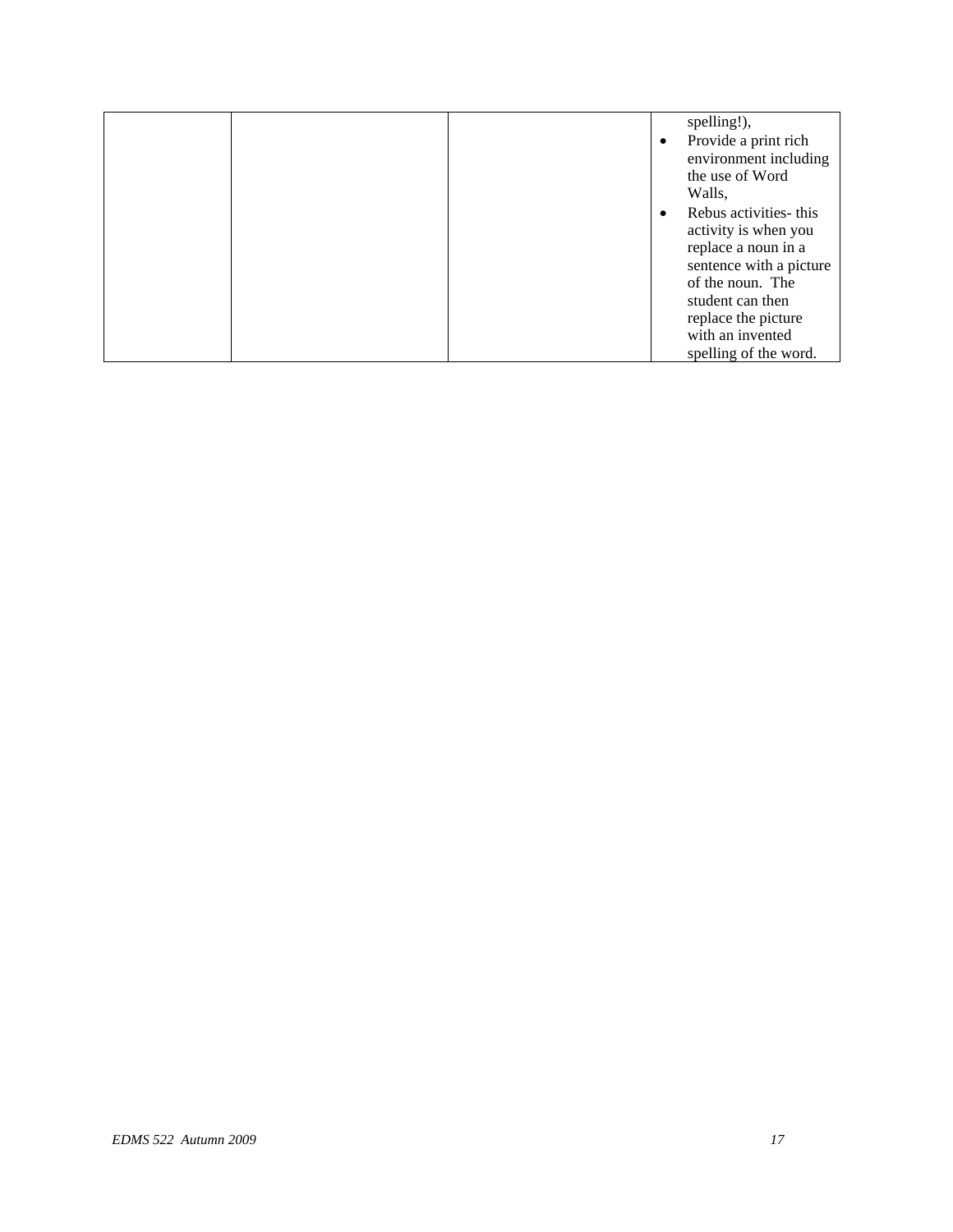|  |  | spelling!),             |
|--|--|-------------------------|
|  |  | Provide a print rich    |
|  |  | environment including   |
|  |  | the use of Word         |
|  |  | Walls,                  |
|  |  | Rebus activities- this  |
|  |  | activity is when you    |
|  |  | replace a noun in a     |
|  |  | sentence with a picture |
|  |  | of the noun. The        |
|  |  | student can then        |
|  |  | replace the picture     |
|  |  | with an invented        |
|  |  | spelling of the word.   |